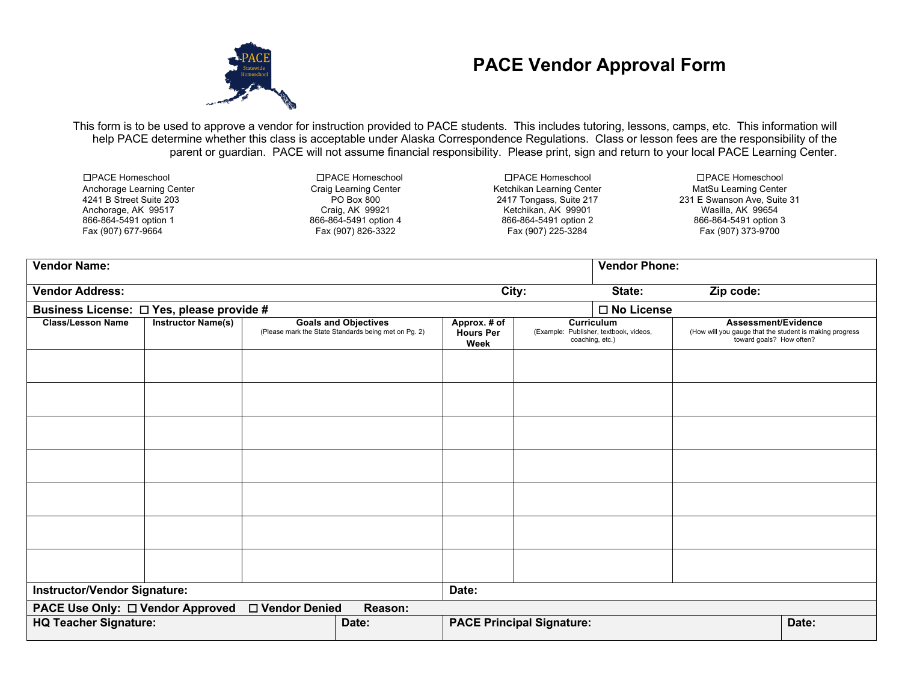

## **PACE Vendor Approval Form**

This form is to be used to approve a vendor for instruction provided to PACE students. This includes tutoring, lessons, camps, etc. This information will help PACE determine whether this class is acceptable under Alaska Correspondence Regulations. Class or lesson fees are the responsibility of the parent or guardian. PACE will not assume financial responsibility. Please print, sign and return to your local PACE Learning Center.

| □PACE Homeschool          | □PACE Homeschool      | □PACE Homeschool          | □PACE Homeschool            |  |  |
|---------------------------|-----------------------|---------------------------|-----------------------------|--|--|
| Anchorage Learning Center | Craig Learning Center | Ketchikan Learning Center | MatSu Learning Center       |  |  |
| 4241 B Street Suite 203   | PO Box 800            | 2417 Tongass, Suite 217   | 231 E Swanson Ave. Suite 31 |  |  |
| Anchorage, AK 99517       | Craig, AK 99921       | Ketchikan, AK 99901       | Wasilla, AK 99654           |  |  |
| 866-864-5491 option 1     | 866-864-5491 option 4 | 866-864-5491 option 2     | 866-864-5491 option 3       |  |  |
| Fax (907) 677-9664        | Fax (907) 826-3322    | Fax (907) 225-3284        | Fax (907) 373-9700          |  |  |
|                           |                       |                           |                             |  |  |

| <b>Vendor Name:</b>                                            |                           |  |                                                                                     |                                          |                                                           | <b>Vendor Phone:</b> |                                                                                                            |       |
|----------------------------------------------------------------|---------------------------|--|-------------------------------------------------------------------------------------|------------------------------------------|-----------------------------------------------------------|----------------------|------------------------------------------------------------------------------------------------------------|-------|
| <b>Vendor Address:</b>                                         |                           |  |                                                                                     | City:                                    |                                                           | State:               | Zip code:                                                                                                  |       |
| Business License: □ Yes, please provide #                      |                           |  |                                                                                     |                                          |                                                           | $\square$ No License |                                                                                                            |       |
| <b>Class/Lesson Name</b>                                       | <b>Instructor Name(s)</b> |  | <b>Goals and Objectives</b><br>(Please mark the State Standards being met on Pg. 2) | Approx. # of<br><b>Hours Per</b><br>Week | (Example: Publisher, textbook, videos,<br>coaching, etc.) | <b>Curriculum</b>    | Assessment/Evidence<br>(How will you gauge that the student is making progress<br>toward goals? How often? |       |
|                                                                |                           |  |                                                                                     |                                          |                                                           |                      |                                                                                                            |       |
|                                                                |                           |  |                                                                                     |                                          |                                                           |                      |                                                                                                            |       |
|                                                                |                           |  |                                                                                     |                                          |                                                           |                      |                                                                                                            |       |
|                                                                |                           |  |                                                                                     |                                          |                                                           |                      |                                                                                                            |       |
|                                                                |                           |  |                                                                                     |                                          |                                                           |                      |                                                                                                            |       |
|                                                                |                           |  |                                                                                     |                                          |                                                           |                      |                                                                                                            |       |
|                                                                |                           |  |                                                                                     |                                          |                                                           |                      |                                                                                                            |       |
| <b>Instructor/Vendor Signature:</b><br>Date:                   |                           |  |                                                                                     |                                          |                                                           |                      |                                                                                                            |       |
| PACE Use Only: □ Vendor Approved<br>□ Vendor Denied<br>Reason: |                           |  |                                                                                     |                                          |                                                           |                      |                                                                                                            |       |
| <b>HQ Teacher Signature:</b>                                   |                           |  | Date:                                                                               |                                          | <b>PACE Principal Signature:</b>                          |                      |                                                                                                            | Date: |